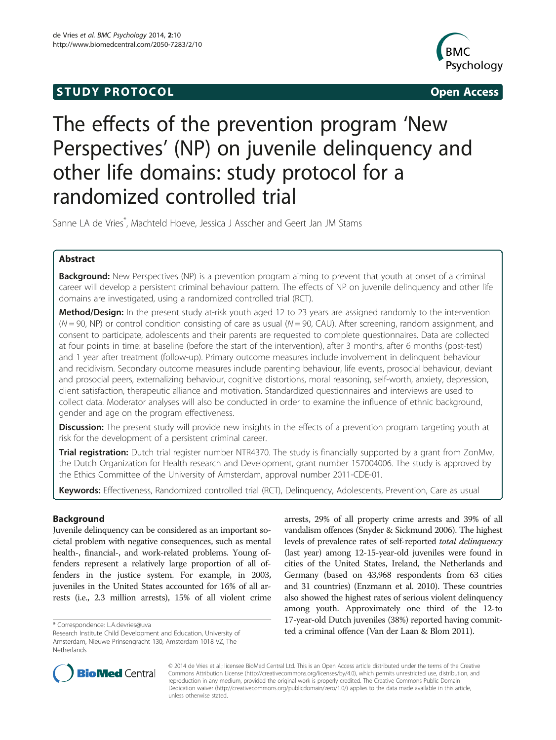## **STUDY PROTOCOL CONSUMING THE STUDY PROTOCOL**



# The effects of the prevention program 'New Perspectives' (NP) on juvenile delinquency and other life domains: study protocol for a randomized controlled trial

Sanne LA de Vries<sup>\*</sup>, Machteld Hoeve, Jessica J Asscher and Geert Jan JM Stams

## Abstract

**Background:** New Perspectives (NP) is a prevention program aiming to prevent that youth at onset of a criminal career will develop a persistent criminal behaviour pattern. The effects of NP on juvenile delinquency and other life domains are investigated, using a randomized controlled trial (RCT).

Method/Design: In the present study at-risk youth aged 12 to 23 years are assigned randomly to the intervention  $(N = 90, NP)$  or control condition consisting of care as usual  $(N = 90, CAU)$ . After screening, random assignment, and consent to participate, adolescents and their parents are requested to complete questionnaires. Data are collected at four points in time: at baseline (before the start of the intervention), after 3 months, after 6 months (post-test) and 1 year after treatment (follow-up). Primary outcome measures include involvement in delinquent behaviour and recidivism. Secondary outcome measures include parenting behaviour, life events, prosocial behaviour, deviant and prosocial peers, externalizing behaviour, cognitive distortions, moral reasoning, self-worth, anxiety, depression, client satisfaction, therapeutic alliance and motivation. Standardized questionnaires and interviews are used to collect data. Moderator analyses will also be conducted in order to examine the influence of ethnic background, gender and age on the program effectiveness.

**Discussion:** The present study will provide new insights in the effects of a prevention program targeting youth at risk for the development of a persistent criminal career.

Trial registration: Dutch trial register number [NTR4370](http://www.trialregister.nl/trialreg/admin/rctview.asp?TC=4370). The study is financially supported by a grant from ZonMw, the Dutch Organization for Health research and Development, grant number 157004006. The study is approved by the Ethics Committee of the University of Amsterdam, approval number 2011-CDE-01.

Keywords: Effectiveness, Randomized controlled trial (RCT), Delinquency, Adolescents, Prevention, Care as usual

### Background

Juvenile delinquency can be considered as an important societal problem with negative consequences, such as mental health-, financial-, and work-related problems. Young offenders represent a relatively large proportion of all offenders in the justice system. For example, in 2003, juveniles in the United States accounted for 16% of all arrests (i.e., 2.3 million arrests), 15% of all violent crime

arrests, 29% of all property crime arrests and 39% of all vandalism offences (Snyder & Sickmund [2006\)](#page-9-0). The highest levels of prevalence rates of self-reported total delinquency (last year) among 12-15-year-old juveniles were found in cities of the United States, Ireland, the Netherlands and Germany (based on 43,968 respondents from 63 cities and 31 countries) (Enzmann et al. [2010\)](#page-8-0). These countries also showed the highest rates of serious violent delinquency among youth. Approximately one third of the 12-to 17-year-old Dutch juveniles (38%) reported having commit-ted a criminal offence (Van der Laan & Blom [2011](#page-9-0)).<br>Research Institute Child Development and Education University of ted a criminal offence (Van der Laan & Blom 2011).



© 2014 de Vries et al.; licensee BioMed Central Ltd. This is an Open Access article distributed under the terms of the Creative Commons Attribution License [\(http://creativecommons.org/licenses/by/4.0\)](http://creativecommons.org/licenses/by/4.0), which permits unrestricted use, distribution, and reproduction in any medium, provided the original work is properly credited. The Creative Commons Public Domain Dedication waiver [\(http://creativecommons.org/publicdomain/zero/1.0/](http://creativecommons.org/publicdomain/zero/1.0/)) applies to the data made available in this article, unless otherwise stated.

Research Institute Child Development and Education, University of Amsterdam, Nieuwe Prinsengracht 130, Amsterdam 1018 VZ, The Netherlands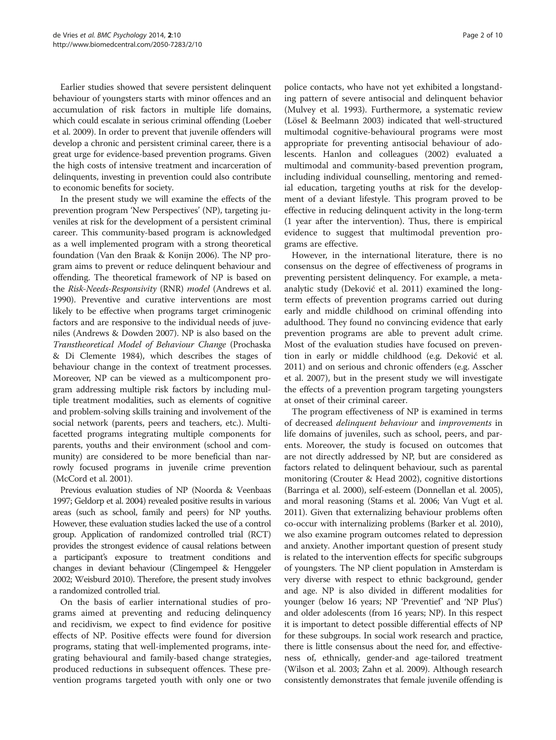Earlier studies showed that severe persistent delinquent behaviour of youngsters starts with minor offences and an accumulation of risk factors in multiple life domains, which could escalate in serious criminal offending (Loeber et al. [2009\)](#page-8-0). In order to prevent that juvenile offenders will develop a chronic and persistent criminal career, there is a great urge for evidence-based prevention programs. Given the high costs of intensive treatment and incarceration of delinquents, investing in prevention could also contribute to economic benefits for society.

In the present study we will examine the effects of the prevention program 'New Perspectives' (NP), targeting juveniles at risk for the development of a persistent criminal career. This community-based program is acknowledged as a well implemented program with a strong theoretical foundation (Van den Braak & Konijn [2006\)](#page-9-0). The NP program aims to prevent or reduce delinquent behaviour and offending. The theoretical framework of NP is based on the Risk-Needs-Responsivity (RNR) model (Andrews et al. [1990\)](#page-8-0). Preventive and curative interventions are most likely to be effective when programs target criminogenic factors and are responsive to the individual needs of juveniles (Andrews & Dowden [2007](#page-8-0)). NP is also based on the Transtheoretical Model of Behaviour Change (Prochaska & Di Clemente [1984\)](#page-9-0), which describes the stages of behaviour change in the context of treatment processes. Moreover, NP can be viewed as a multicomponent program addressing multiple risk factors by including multiple treatment modalities, such as elements of cognitive and problem-solving skills training and involvement of the social network (parents, peers and teachers, etc.). Multifacetted programs integrating multiple components for parents, youths and their environment (school and community) are considered to be more beneficial than narrowly focused programs in juvenile crime prevention (McCord et al. [2001\)](#page-8-0).

Previous evaluation studies of NP (Noorda & Veenbaas [1997](#page-9-0); Geldorp et al. [2004](#page-8-0)) revealed positive results in various areas (such as school, family and peers) for NP youths. However, these evaluation studies lacked the use of a control group. Application of randomized controlled trial (RCT) provides the strongest evidence of causal relations between a participant's exposure to treatment conditions and changes in deviant behaviour (Clingempeel & Henggeler [2002](#page-8-0); Weisburd [2010](#page-9-0)). Therefore, the present study involves a randomized controlled trial.

On the basis of earlier international studies of programs aimed at preventing and reducing delinquency and recidivism, we expect to find evidence for positive effects of NP. Positive effects were found for diversion programs, stating that well-implemented programs, integrating behavioural and family-based change strategies, produced reductions in subsequent offences. These prevention programs targeted youth with only one or two

police contacts, who have not yet exhibited a longstanding pattern of severe antisocial and delinquent behavior (Mulvey et al. [1993\)](#page-9-0). Furthermore, a systematic review (Lösel & Beelmann [2003](#page-8-0)) indicated that well-structured multimodal cognitive-behavioural programs were most appropriate for preventing antisocial behaviour of adolescents. Hanlon and colleagues [\(2002\)](#page-8-0) evaluated a multimodal and community-based prevention program, including individual counselling, mentoring and remedial education, targeting youths at risk for the development of a deviant lifestyle. This program proved to be effective in reducing delinquent activity in the long-term (1 year after the intervention). Thus, there is empirical evidence to suggest that multimodal prevention programs are effective.

However, in the international literature, there is no consensus on the degree of effectiveness of programs in preventing persistent delinquency. For example, a metaanalytic study (Deković et al. [2011](#page-8-0)) examined the longterm effects of prevention programs carried out during early and middle childhood on criminal offending into adulthood. They found no convincing evidence that early prevention programs are able to prevent adult crime. Most of the evaluation studies have focused on prevention in early or middle childhood (e.g. Deković et al. [2011](#page-8-0)) and on serious and chronic offenders (e.g. Asscher et al. [2007](#page-8-0)), but in the present study we will investigate the effects of a prevention program targeting youngsters at onset of their criminal career.

The program effectiveness of NP is examined in terms of decreased delinquent behaviour and improvements in life domains of juveniles, such as school, peers, and parents. Moreover, the study is focused on outcomes that are not directly addressed by NP, but are considered as factors related to delinquent behaviour, such as parental monitoring (Crouter & Head [2002\)](#page-8-0), cognitive distortions (Barringa et al. [2000](#page-8-0)), self-esteem (Donnellan et al. [2005](#page-8-0)), and moral reasoning (Stams et al. [2006;](#page-9-0) Van Vugt et al. [2011\)](#page-9-0). Given that externalizing behaviour problems often co-occur with internalizing problems (Barker et al. [2010](#page-8-0)), we also examine program outcomes related to depression and anxiety. Another important question of present study is related to the intervention effects for specific subgroups of youngsters. The NP client population in Amsterdam is very diverse with respect to ethnic background, gender and age. NP is also divided in different modalities for younger (below 16 years; NP 'Preventief' and 'NP Plus') and older adolescents (from 16 years; NP). In this respect it is important to detect possible differential effects of NP for these subgroups. In social work research and practice, there is little consensus about the need for, and effectiveness of, ethnically, gender-and age-tailored treatment (Wilson et al. [2003;](#page-9-0) Zahn et al. [2009](#page-9-0)). Although research consistently demonstrates that female juvenile offending is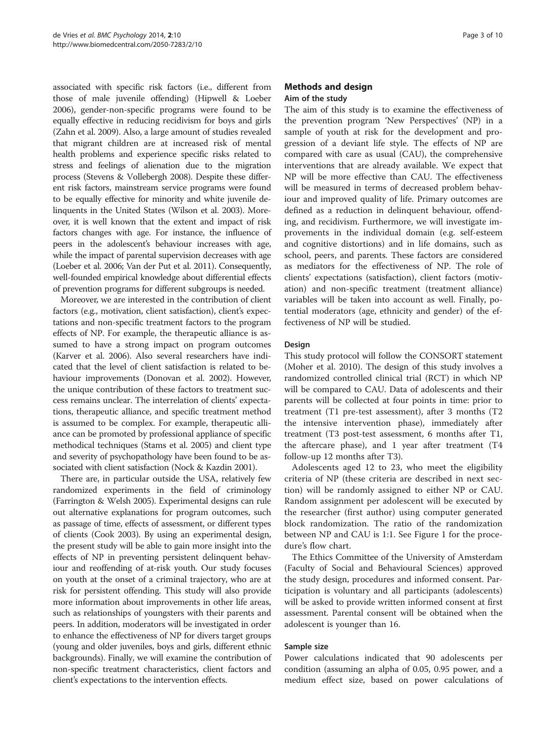associated with specific risk factors (i.e., different from those of male juvenile offending) (Hipwell & Loeber [2006\)](#page-8-0), gender-non-specific programs were found to be equally effective in reducing recidivism for boys and girls (Zahn et al. [2009](#page-9-0)). Also, a large amount of studies revealed that migrant children are at increased risk of mental health problems and experience specific risks related to stress and feelings of alienation due to the migration process (Stevens & Vollebergh [2008](#page-9-0)). Despite these different risk factors, mainstream service programs were found to be equally effective for minority and white juvenile delinquents in the United States (Wilson et al. [2003\)](#page-9-0). Moreover, it is well known that the extent and impact of risk factors changes with age. For instance, the influence of peers in the adolescent's behaviour increases with age, while the impact of parental supervision decreases with age (Loeber et al. [2006;](#page-8-0) Van der Put et al. [2011\)](#page-9-0). Consequently, well-founded empirical knowledge about differential effects of prevention programs for different subgroups is needed.

Moreover, we are interested in the contribution of client factors (e.g., motivation, client satisfaction), client's expectations and non-specific treatment factors to the program effects of NP. For example, the therapeutic alliance is assumed to have a strong impact on program outcomes (Karver et al. [2006\)](#page-8-0). Also several researchers have indicated that the level of client satisfaction is related to behaviour improvements (Donovan et al. [2002](#page-8-0)). However, the unique contribution of these factors to treatment success remains unclear. The interrelation of clients' expectations, therapeutic alliance, and specific treatment method is assumed to be complex. For example, therapeutic alliance can be promoted by professional appliance of specific methodical techniques (Stams et al. [2005\)](#page-9-0) and client type and severity of psychopathology have been found to be associated with client satisfaction (Nock & Kazdin [2001](#page-9-0)).

There are, in particular outside the USA, relatively few randomized experiments in the field of criminology (Farrington & Welsh [2005](#page-8-0)). Experimental designs can rule out alternative explanations for program outcomes, such as passage of time, effects of assessment, or different types of clients (Cook [2003](#page-8-0)). By using an experimental design, the present study will be able to gain more insight into the effects of NP in preventing persistent delinquent behaviour and reoffending of at-risk youth. Our study focuses on youth at the onset of a criminal trajectory, who are at risk for persistent offending. This study will also provide more information about improvements in other life areas, such as relationships of youngsters with their parents and peers. In addition, moderators will be investigated in order to enhance the effectiveness of NP for divers target groups (young and older juveniles, boys and girls, different ethnic backgrounds). Finally, we will examine the contribution of non-specific treatment characteristics, client factors and client's expectations to the intervention effects.

#### Methods and design Aim of the study

The aim of this study is to examine the effectiveness of the prevention program 'New Perspectives' (NP) in a sample of youth at risk for the development and progression of a deviant life style. The effects of NP are compared with care as usual (CAU), the comprehensive interventions that are already available. We expect that NP will be more effective than CAU. The effectiveness will be measured in terms of decreased problem behaviour and improved quality of life. Primary outcomes are defined as a reduction in delinquent behaviour, offending, and recidivism. Furthermore, we will investigate improvements in the individual domain (e.g. self-esteem and cognitive distortions) and in life domains, such as school, peers, and parents. These factors are considered as mediators for the effectiveness of NP. The role of clients' expectations (satisfaction), client factors (motivation) and non-specific treatment (treatment alliance) variables will be taken into account as well. Finally, potential moderators (age, ethnicity and gender) of the effectiveness of NP will be studied.

#### Design

This study protocol will follow the CONSORT statement (Moher et al. [2010](#page-8-0)). The design of this study involves a randomized controlled clinical trial (RCT) in which NP will be compared to CAU. Data of adolescents and their parents will be collected at four points in time: prior to treatment (T1 pre-test assessment), after 3 months (T2 the intensive intervention phase), immediately after treatment (T3 post-test assessment, 6 months after T1, the aftercare phase), and 1 year after treatment (T4 follow-up 12 months after T3).

Adolescents aged 12 to 23, who meet the eligibility criteria of NP (these criteria are described in next section) will be randomly assigned to either NP or CAU. Random assignment per adolescent will be executed by the researcher (first author) using computer generated block randomization. The ratio of the randomization between NP and CAU is 1:1. See Figure [1](#page-3-0) for the procedure's flow chart.

The Ethics Committee of the University of Amsterdam (Faculty of Social and Behavioural Sciences) approved the study design, procedures and informed consent. Participation is voluntary and all participants (adolescents) will be asked to provide written informed consent at first assessment. Parental consent will be obtained when the adolescent is younger than 16.

#### Sample size

Power calculations indicated that 90 adolescents per condition (assuming an alpha of 0.05, 0.95 power, and a medium effect size, based on power calculations of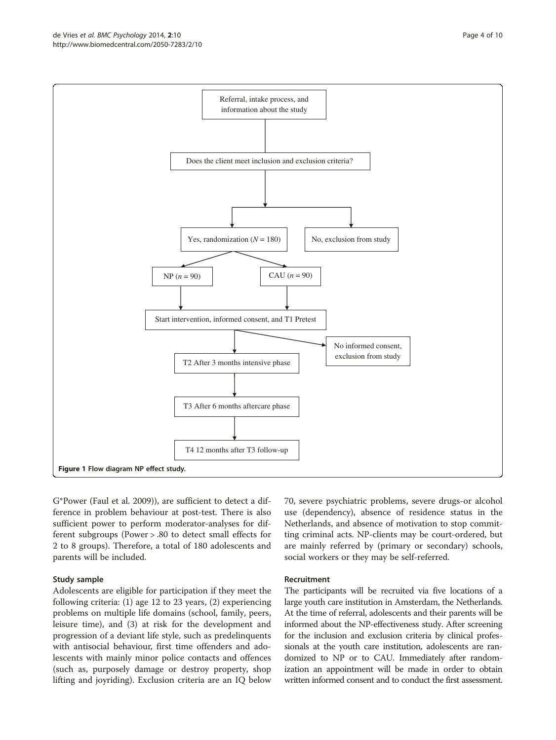<span id="page-3-0"></span>

G\*Power (Faul et al. [2009](#page-8-0))), are sufficient to detect a difference in problem behaviour at post-test. There is also sufficient power to perform moderator-analyses for different subgroups (Power > .80 to detect small effects for 2 to 8 groups). Therefore, a total of 180 adolescents and parents will be included.

#### Study sample

Adolescents are eligible for participation if they meet the following criteria: (1) age 12 to 23 years, (2) experiencing problems on multiple life domains (school, family, peers, leisure time), and (3) at risk for the development and progression of a deviant life style, such as predelinquents with antisocial behaviour, first time offenders and adolescents with mainly minor police contacts and offences (such as, purposely damage or destroy property, shop lifting and joyriding). Exclusion criteria are an IQ below 70, severe psychiatric problems, severe drugs-or alcohol use (dependency), absence of residence status in the Netherlands, and absence of motivation to stop committing criminal acts. NP-clients may be court-ordered, but are mainly referred by (primary or secondary) schools, social workers or they may be self-referred.

#### Recruitment

The participants will be recruited via five locations of a large youth care institution in Amsterdam, the Netherlands. At the time of referral, adolescents and their parents will be informed about the NP-effectiveness study. After screening for the inclusion and exclusion criteria by clinical professionals at the youth care institution, adolescents are randomized to NP or to CAU. Immediately after randomization an appointment will be made in order to obtain written informed consent and to conduct the first assessment.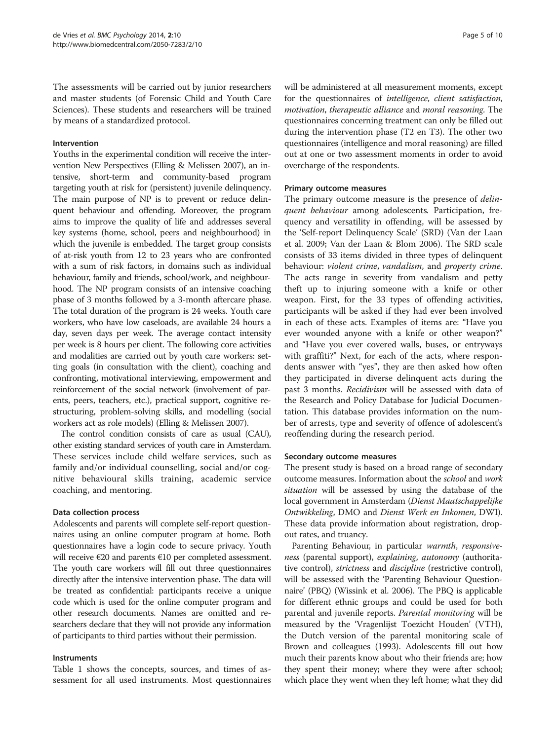The assessments will be carried out by junior researchers and master students (of Forensic Child and Youth Care Sciences). These students and researchers will be trained by means of a standardized protocol.

#### Intervention

Youths in the experimental condition will receive the intervention New Perspectives (Elling & Melissen [2007](#page-8-0)), an intensive, short-term and community-based program targeting youth at risk for (persistent) juvenile delinquency. The main purpose of NP is to prevent or reduce delinquent behaviour and offending. Moreover, the program aims to improve the quality of life and addresses several key systems (home, school, peers and neighbourhood) in which the juvenile is embedded. The target group consists of at-risk youth from 12 to 23 years who are confronted with a sum of risk factors, in domains such as individual behaviour, family and friends, school/work, and neighbourhood. The NP program consists of an intensive coaching phase of 3 months followed by a 3-month aftercare phase. The total duration of the program is 24 weeks. Youth care workers, who have low caseloads, are available 24 hours a day, seven days per week. The average contact intensity per week is 8 hours per client. The following core activities and modalities are carried out by youth care workers: setting goals (in consultation with the client), coaching and confronting, motivational interviewing, empowerment and reinforcement of the social network (involvement of parents, peers, teachers, etc.), practical support, cognitive restructuring, problem-solving skills, and modelling (social workers act as role models) (Elling & Melissen [2007\)](#page-8-0).

The control condition consists of care as usual (CAU), other existing standard services of youth care in Amsterdam. These services include child welfare services, such as family and/or individual counselling, social and/or cognitive behavioural skills training, academic service coaching, and mentoring.

#### Data collection process

Adolescents and parents will complete self-report questionnaires using an online computer program at home. Both questionnaires have a login code to secure privacy. Youth will receive €20 and parents €10 per completed assessment. The youth care workers will fill out three questionnaires directly after the intensive intervention phase. The data will be treated as confidential: participants receive a unique code which is used for the online computer program and other research documents. Names are omitted and researchers declare that they will not provide any information of participants to third parties without their permission.

#### Instruments

Table [1](#page-5-0) shows the concepts, sources, and times of assessment for all used instruments. Most questionnaires

will be administered at all measurement moments, except for the questionnaires of intelligence, client satisfaction, motivation, therapeutic alliance and moral reasoning. The questionnaires concerning treatment can only be filled out during the intervention phase (T2 en T3). The other two questionnaires (intelligence and moral reasoning) are filled out at one or two assessment moments in order to avoid overcharge of the respondents.

#### Primary outcome measures

The primary outcome measure is the presence of *delin*quent behaviour among adolescents. Participation, frequency and versatility in offending, will be assessed by the 'Self-report Delinquency Scale' (SRD) (Van der Laan et al. [2009](#page-9-0); Van der Laan & Blom [2006\)](#page-9-0). The SRD scale consists of 33 items divided in three types of delinquent behaviour: violent crime, vandalism, and property crime. The acts range in severity from vandalism and petty theft up to injuring someone with a knife or other weapon. First, for the 33 types of offending activities, participants will be asked if they had ever been involved in each of these acts. Examples of items are: "Have you ever wounded anyone with a knife or other weapon?" and "Have you ever covered walls, buses, or entryways with graffiti?" Next, for each of the acts, where respondents answer with "yes", they are then asked how often they participated in diverse delinquent acts during the past 3 months. Recidivism will be assessed with data of the Research and Policy Database for Judicial Documentation. This database provides information on the number of arrests, type and severity of offence of adolescent's reoffending during the research period.

#### Secondary outcome measures

The present study is based on a broad range of secondary outcome measures. Information about the school and work situation will be assessed by using the database of the local government in Amsterdam (Dienst Maatschappelijke Ontwikkeling, DMO and Dienst Werk en Inkomen, DWI). These data provide information about registration, dropout rates, and truancy.

Parenting Behaviour, in particular warmth, responsiveness (parental support), explaining, autonomy (authoritative control), *strictness* and *discipline* (restrictive control), will be assessed with the 'Parenting Behaviour Questionnaire' (PBQ) (Wissink et al. [2006](#page-9-0)). The PBQ is applicable for different ethnic groups and could be used for both parental and juvenile reports. Parental monitoring will be measured by the 'Vragenlijst Toezicht Houden' (VTH), the Dutch version of the parental monitoring scale of Brown and colleagues [\(1993](#page-8-0)). Adolescents fill out how much their parents know about who their friends are; how they spent their money; where they were after school; which place they went when they left home; what they did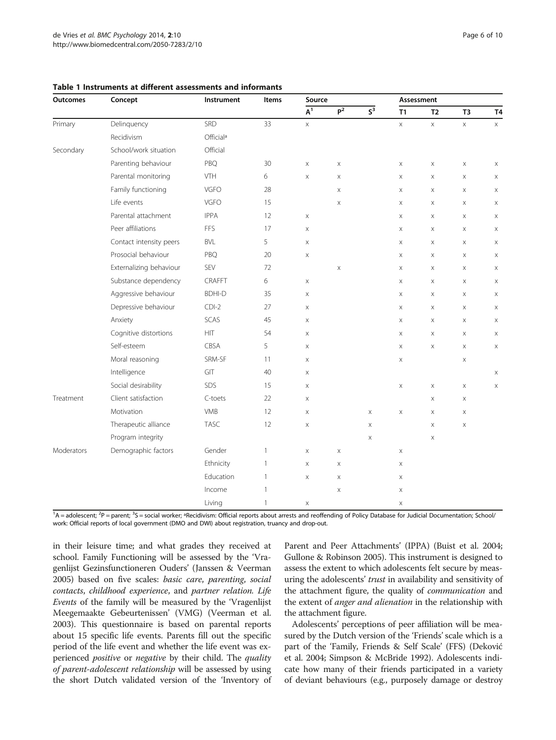<span id="page-5-0"></span>

|  |  | Table 1 Instruments at different assessments and informants |  |  |  |  |  |
|--|--|-------------------------------------------------------------|--|--|--|--|--|
|--|--|-------------------------------------------------------------|--|--|--|--|--|

| <b>Outcomes</b> | Concept                 | Instrument            | Items        | Source           |                  |                  | Assessment                |                |                           |                |
|-----------------|-------------------------|-----------------------|--------------|------------------|------------------|------------------|---------------------------|----------------|---------------------------|----------------|
|                 |                         |                       |              | $\overline{A^1}$ | $\overline{p^2}$ | $\overline{s^3}$ | <b>T1</b>                 | T <sub>2</sub> | T3                        | T <sub>4</sub> |
| Primary         | Delinquency             | SRD                   | 33           | $\mathsf X$      |                  |                  | $\times$                  | $\mathsf X$    | $\mathsf X$               | $\times$       |
|                 | Recidivism              | Official <sup>a</sup> |              |                  |                  |                  |                           |                |                           |                |
| Secondary       | School/work situation   | Official              |              |                  |                  |                  |                           |                |                           |                |
|                 | Parenting behaviour     | PBQ                   | 30           | $\mathsf X$      | $\mathsf X$      |                  | $\mathsf X$               | $\mathsf X$    | $\mathsf X$               | X              |
|                 | Parental monitoring     | VTH                   | 6            | $\mathsf X$      | $\mathsf X$      |                  | X                         | $\mathsf X$    | $\mathsf X$               | X              |
|                 | Family functioning      | VGFO                  | 28           |                  | X                |                  | X                         | X              | $\boldsymbol{\mathsf{X}}$ | X              |
|                 | Life events             | VGFO                  | 15           |                  | $\mathsf X$      |                  | $\boldsymbol{\mathsf{X}}$ | $\mathsf X$    | $\mathsf X$               | $\mathsf X$    |
|                 | Parental attachment     | <b>IPPA</b>           | 12           | $\mathsf X$      |                  |                  | X                         | $\mathsf X$    | $\mathsf X$               | X              |
|                 | Peer affiliations       | FFS                   | 17           | $\mathsf X$      |                  |                  | X                         | X              | $\boldsymbol{\mathsf{X}}$ | $\mathsf X$    |
|                 | Contact intensity peers | BVL                   | 5            | X                |                  |                  | X                         | X              | $\boldsymbol{\mathsf{X}}$ | X              |
|                 | Prosocial behaviour     | PBQ                   | 20           | $\mathsf X$      |                  |                  | $\mathsf X$               | $\mathsf X$    | $\mathsf X$               | $\mathsf X$    |
|                 | Externalizing behaviour | SEV                   | 72           |                  | $\mathsf X$      |                  | $\mathsf X$               | $\mathsf X$    | $\mathsf X$               | $\mathsf X$    |
|                 | Substance dependency    | CRAFFT                | 6            | $\mathsf X$      |                  |                  | X                         | X              | X                         | X              |
|                 | Aggressive behaviour    | <b>BDHI-D</b>         | 35           | X                |                  |                  | X                         | X              | $\boldsymbol{\mathsf{X}}$ | X              |
|                 | Depressive behaviour    | $CDI-2$               | 27           | $\mathsf X$      |                  |                  | $\boldsymbol{\mathsf{X}}$ | $\mathsf X$    | $\mathsf X$               | $\mathsf X$    |
|                 | Anxiety                 | SCAS                  | 45           | $\mathsf X$      |                  |                  | $\mathsf X$               | $\mathsf X$    | $\mathsf X$               | X              |
|                 | Cognitive distortions   | HIT                   | 54           | $\mathsf X$      |                  |                  | $\boldsymbol{\mathsf{X}}$ | $\mathsf X$    | $\mathsf X$               | X              |
|                 | Self-esteem             | CBSA                  | 5            | X                |                  |                  | X                         | $\mathsf X$    | $\boldsymbol{\mathsf{X}}$ | X              |
|                 | Moral reasoning         | SRM-SF                | 11           | $\mathsf X$      |                  |                  | $\mathsf X$               |                | $\mathsf X$               |                |
|                 | Intelligence            | GIT                   | 40           | $\mathsf X$      |                  |                  |                           |                |                           | $\mathsf X$    |
|                 | Social desirability     | SDS                   | 15           | X                |                  |                  | X                         | $\mathsf X$    | $\boldsymbol{\mathsf{X}}$ | $\mathsf X$    |
| Treatment       | Client satisfaction     | C-toets               | 22           | $\mathsf X$      |                  |                  |                           | $\mathsf X$    | $\boldsymbol{\mathsf{X}}$ |                |
|                 | Motivation              | <b>VMB</b>            | 12           | $\mathsf X$      |                  | $\mathsf X$      | $\mathsf X$               | $\mathsf X$    | $\boldsymbol{\mathsf{X}}$ |                |
|                 | Therapeutic alliance    | <b>TASC</b>           | 12           | $\mathsf X$      |                  | $\mathsf X$      |                           | $\mathsf X$    | $\mathsf X$               |                |
|                 | Program integrity       |                       |              |                  |                  | X                |                           | $\mathsf X$    |                           |                |
| Moderators      | Demographic factors     | Gender                | $\mathbf{1}$ | X                | $\times$         |                  | X                         |                |                           |                |
|                 |                         | Ethnicity             | $\mathbf{1}$ | $\mathsf X$      | $\mathsf X$      |                  | $\times$                  |                |                           |                |
|                 |                         | Education             | $\mathbf{1}$ | $\mathsf X$      | $\mathsf X$      |                  | X                         |                |                           |                |
|                 |                         | Income                | $\mathbf{1}$ |                  | $\mathsf X$      |                  | X                         |                |                           |                |
|                 |                         | Living                | $\mathbf{1}$ | $\mathsf X$      |                  |                  | X                         |                |                           |                |

<sup>1</sup>A = adolescent; <sup>2</sup>P = parent; <sup>3</sup>S = social worker; <sup>a</sup>Recidivism: Official reports about arrests and reoffending of Policy Database for Judicial Documentation; School/ work: Official reports of local government (DMO and DWI) about registration, truancy and drop-out.

in their leisure time; and what grades they received at school. Family Functioning will be assessed by the 'Vragenlijst Gezinsfunctioneren Ouders' (Janssen & Veerman [2005\)](#page-8-0) based on five scales: basic care, parenting, social contacts, childhood experience, and partner relation. Life Events of the family will be measured by the 'Vragenlijst Meegemaakte Gebeurtenissen' (VMG) (Veerman et al. [2003\)](#page-9-0). This questionnaire is based on parental reports about 15 specific life events. Parents fill out the specific period of the life event and whether the life event was experienced *positive* or *negative* by their child. The *quality* of parent-adolescent relationship will be assessed by using the short Dutch validated version of the 'Inventory of Parent and Peer Attachments' (IPPA) (Buist et al. [2004](#page-8-0); Gullone & Robinson [2005\)](#page-8-0). This instrument is designed to assess the extent to which adolescents felt secure by measuring the adolescents' trust in availability and sensitivity of the attachment figure, the quality of communication and the extent of anger and alienation in the relationship with the attachment figure.

Adolescents' perceptions of peer affiliation will be measured by the Dutch version of the 'Friends' scale which is a part of the 'Family, Friends & Self Scale' (FFS) (Deković et al. [2004](#page-8-0); Simpson & McBride [1992](#page-9-0)). Adolescents indicate how many of their friends participated in a variety of deviant behaviours (e.g., purposely damage or destroy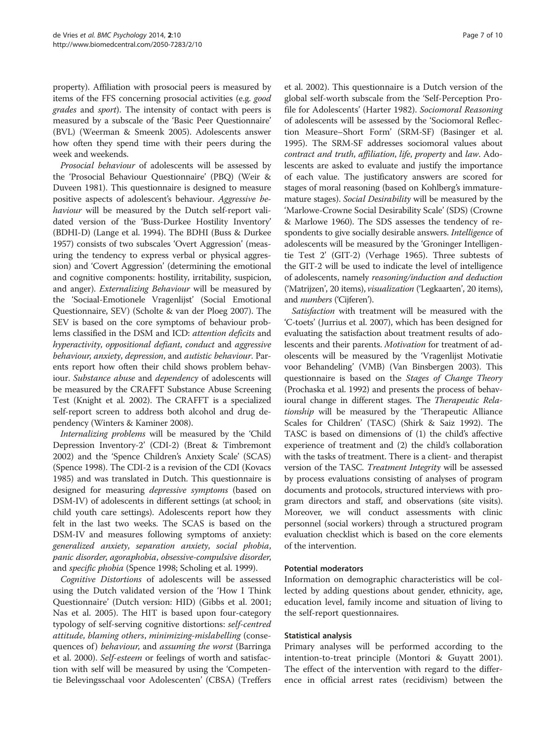property). Affiliation with prosocial peers is measured by items of the FFS concerning prosocial activities (e.g. good grades and sport). The intensity of contact with peers is measured by a subscale of the 'Basic Peer Questionnaire' (BVL) (Weerman & Smeenk [2005\)](#page-9-0). Adolescents answer how often they spend time with their peers during the week and weekends.

Prosocial behaviour of adolescents will be assessed by the 'Prosocial Behaviour Questionnaire' (PBQ) (Weir & Duveen [1981](#page-9-0)). This questionnaire is designed to measure positive aspects of adolescent's behaviour. Aggressive behaviour will be measured by the Dutch self-report validated version of the 'Buss-Durkee Hostility Inventory' (BDHI-D) (Lange et al. [1994](#page-8-0)). The BDHI (Buss & Durkee [1957\)](#page-8-0) consists of two subscales 'Overt Aggression' (measuring the tendency to express verbal or physical aggression) and 'Covert Aggression' (determining the emotional and cognitive components: hostility, irritability, suspicion, and anger). Externalizing Behaviour will be measured by the 'Sociaal-Emotionele Vragenlijst' (Social Emotional Questionnaire, SEV) (Scholte & van der Ploeg [2007](#page-9-0)). The SEV is based on the core symptoms of behaviour problems classified in the DSM and ICD: attention deficits and hyperactivity, oppositional defiant, conduct and aggressive behaviour, anxiety, depression, and autistic behaviour. Parents report how often their child shows problem behaviour. Substance abuse and dependency of adolescents will be measured by the CRAFFT Substance Abuse Screening Test (Knight et al. [2002\)](#page-8-0). The CRAFFT is a specialized self-report screen to address both alcohol and drug dependency (Winters & Kaminer [2008\)](#page-9-0).

Internalizing problems will be measured by the 'Child Depression Inventory-2' (CDI-2) (Breat & Timbremont [2002\)](#page-8-0) and the 'Spence Children's Anxiety Scale' (SCAS) (Spence [1998\)](#page-9-0). The CDI-2 is a revision of the CDI (Kovacs [1985\)](#page-8-0) and was translated in Dutch. This questionnaire is designed for measuring *depressive symptoms* (based on DSM-IV) of adolescents in different settings (at school; in child youth care settings). Adolescents report how they felt in the last two weeks. The SCAS is based on the DSM-IV and measures following symptoms of anxiety: generalized anxiety, separation anxiety, social phobia, panic disorder, agoraphobia, obsessive-compulsive disorder, and specific phobia (Spence [1998](#page-9-0); Scholing et al. [1999\)](#page-9-0).

Cognitive Distortions of adolescents will be assessed using the Dutch validated version of the 'How I Think Questionnaire' (Dutch version: HID) (Gibbs et al. [2001](#page-8-0); Nas et al. [2005](#page-9-0)). The HIT is based upon four-category typology of self-serving cognitive distortions: self-centred attitude, blaming others, minimizing-mislabelling (consequences of) *behaviour*, and *assuming the worst* (Barringa et al. [2000](#page-8-0)). Self-esteem or feelings of worth and satisfaction with self will be measured by using the 'Competentie Belevingsschaal voor Adolescenten' (CBSA) (Treffers

et al. [2002\)](#page-9-0). This questionnaire is a Dutch version of the global self-worth subscale from the 'Self-Perception Profile for Adolescents' (Harter [1982\)](#page-8-0). Sociomoral Reasoning of adolescents will be assessed by the 'Sociomoral Reflection Measure–Short Form' (SRM-SF) (Basinger et al. [1995](#page-8-0)). The SRM-SF addresses sociomoral values about contract and truth, affiliation, life, property and law. Adolescents are asked to evaluate and justify the importance of each value. The justificatory answers are scored for stages of moral reasoning (based on Kohlberg's immaturemature stages). Social Desirability will be measured by the 'Marlowe-Crowne Social Desirability Scale' (SDS) (Crowne & Marlowe [1960](#page-8-0)). The SDS assesses the tendency of respondents to give socially desirable answers. Intelligence of adolescents will be measured by the 'Groninger Intelligentie Test 2' (GIT-2) (Verhage [1965\)](#page-9-0). Three subtests of the GIT-2 will be used to indicate the level of intelligence of adolescents, namely reasoning/induction and deduction ('Matrijzen', 20 items), visualization ('Legkaarten', 20 items), and numbers ('Cijferen').

Satisfaction with treatment will be measured with the 'C-toets' (Jurrius et al. [2007\)](#page-8-0), which has been designed for evaluating the satisfaction about treatment results of adolescents and their parents. Motivation for treatment of adolescents will be measured by the 'Vragenlijst Motivatie voor Behandeling' (VMB) (Van Binsbergen [2003](#page-9-0)). This questionnaire is based on the Stages of Change Theory (Prochaska et al. [1992\)](#page-9-0) and presents the process of behavioural change in different stages. The Therapeutic Relationship will be measured by the 'Therapeutic Alliance Scales for Children' (TASC) (Shirk & Saiz [1992](#page-9-0)). The TASC is based on dimensions of (1) the child's affective experience of treatment and (2) the child's collaboration with the tasks of treatment. There is a client- and therapist version of the TASC. Treatment Integrity will be assessed by process evaluations consisting of analyses of program documents and protocols, structured interviews with program directors and staff, and observations (site visits). Moreover, we will conduct assessments with clinic personnel (social workers) through a structured program evaluation checklist which is based on the core elements of the intervention.

#### Potential moderators

Information on demographic characteristics will be collected by adding questions about gender, ethnicity, age, education level, family income and situation of living to the self-report questionnaires.

#### Statistical analysis

Primary analyses will be performed according to the intention-to-treat principle (Montori & Guyatt [2001](#page-8-0)). The effect of the intervention with regard to the difference in official arrest rates (recidivism) between the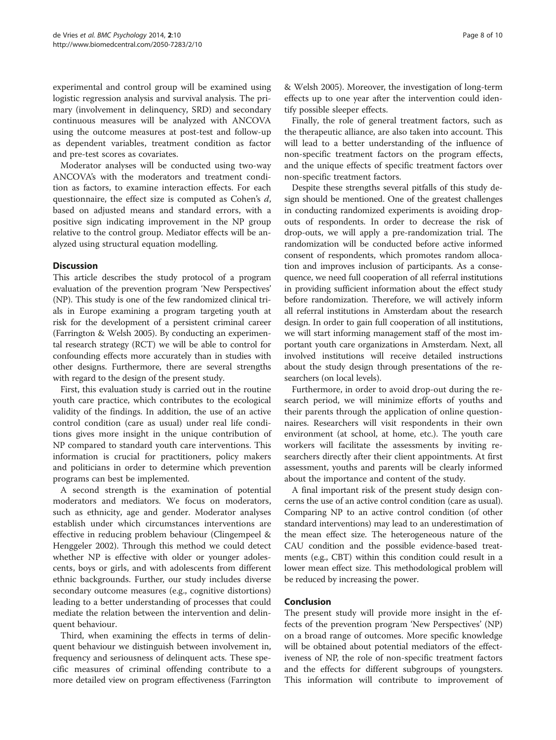experimental and control group will be examined using logistic regression analysis and survival analysis. The primary (involvement in delinquency, SRD) and secondary continuous measures will be analyzed with ANCOVA using the outcome measures at post-test and follow-up as dependent variables, treatment condition as factor and pre-test scores as covariates.

Moderator analyses will be conducted using two-way ANCOVA's with the moderators and treatment condition as factors, to examine interaction effects. For each questionnaire, the effect size is computed as Cohen's  $d$ , based on adjusted means and standard errors, with a positive sign indicating improvement in the NP group relative to the control group. Mediator effects will be analyzed using structural equation modelling.

#### **Discussion**

This article describes the study protocol of a program evaluation of the prevention program 'New Perspectives' (NP). This study is one of the few randomized clinical trials in Europe examining a program targeting youth at risk for the development of a persistent criminal career (Farrington & Welsh [2005\)](#page-8-0). By conducting an experimental research strategy (RCT) we will be able to control for confounding effects more accurately than in studies with other designs. Furthermore, there are several strengths with regard to the design of the present study.

First, this evaluation study is carried out in the routine youth care practice, which contributes to the ecological validity of the findings. In addition, the use of an active control condition (care as usual) under real life conditions gives more insight in the unique contribution of NP compared to standard youth care interventions. This information is crucial for practitioners, policy makers and politicians in order to determine which prevention programs can best be implemented.

A second strength is the examination of potential moderators and mediators. We focus on moderators, such as ethnicity, age and gender. Moderator analyses establish under which circumstances interventions are effective in reducing problem behaviour (Clingempeel & Henggeler [2002\)](#page-8-0). Through this method we could detect whether NP is effective with older or younger adolescents, boys or girls, and with adolescents from different ethnic backgrounds. Further, our study includes diverse secondary outcome measures (e.g., cognitive distortions) leading to a better understanding of processes that could mediate the relation between the intervention and delinquent behaviour.

Third, when examining the effects in terms of delinquent behaviour we distinguish between involvement in, frequency and seriousness of delinquent acts. These specific measures of criminal offending contribute to a more detailed view on program effectiveness (Farrington

& Welsh [2005](#page-8-0)). Moreover, the investigation of long-term effects up to one year after the intervention could identify possible sleeper effects.

Finally, the role of general treatment factors, such as the therapeutic alliance, are also taken into account. This will lead to a better understanding of the influence of non-specific treatment factors on the program effects, and the unique effects of specific treatment factors over non-specific treatment factors.

Despite these strengths several pitfalls of this study design should be mentioned. One of the greatest challenges in conducting randomized experiments is avoiding dropouts of respondents. In order to decrease the risk of drop-outs, we will apply a pre-randomization trial. The randomization will be conducted before active informed consent of respondents, which promotes random allocation and improves inclusion of participants. As a consequence, we need full cooperation of all referral institutions in providing sufficient information about the effect study before randomization. Therefore, we will actively inform all referral institutions in Amsterdam about the research design. In order to gain full cooperation of all institutions, we will start informing management staff of the most important youth care organizations in Amsterdam. Next, all involved institutions will receive detailed instructions about the study design through presentations of the researchers (on local levels).

Furthermore, in order to avoid drop-out during the research period, we will minimize efforts of youths and their parents through the application of online questionnaires. Researchers will visit respondents in their own environment (at school, at home, etc.). The youth care workers will facilitate the assessments by inviting researchers directly after their client appointments. At first assessment, youths and parents will be clearly informed about the importance and content of the study.

A final important risk of the present study design concerns the use of an active control condition (care as usual). Comparing NP to an active control condition (of other standard interventions) may lead to an underestimation of the mean effect size. The heterogeneous nature of the CAU condition and the possible evidence-based treatments (e.g., CBT) within this condition could result in a lower mean effect size. This methodological problem will be reduced by increasing the power.

#### Conclusion

The present study will provide more insight in the effects of the prevention program 'New Perspectives' (NP) on a broad range of outcomes. More specific knowledge will be obtained about potential mediators of the effectiveness of NP, the role of non-specific treatment factors and the effects for different subgroups of youngsters. This information will contribute to improvement of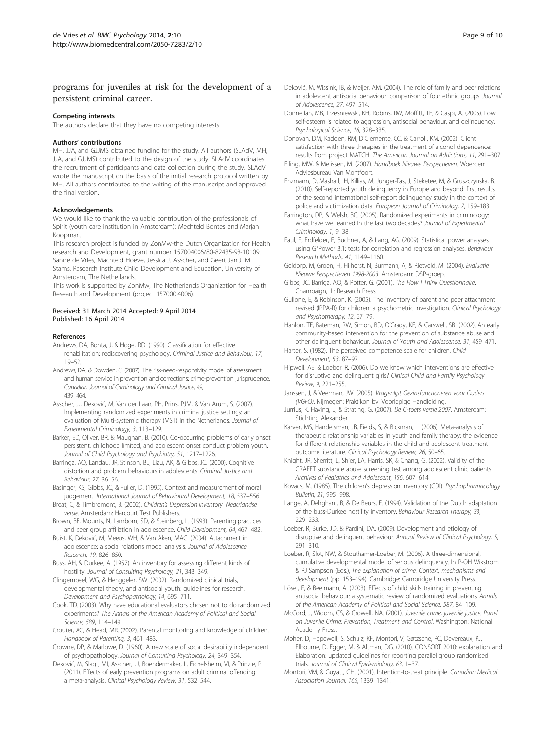#### <span id="page-8-0"></span>programs for juveniles at risk for the development of a persistent criminal career.

#### Competing interests

The authors declare that they have no competing interests.

#### Authors' contributions

MH, JJA, and GJJMS obtained funding for the study. All authors (SLAdV, MH, JJA, and GJJMS) contributed to the design of the study. SLAdV coordinates the recruitment of participants and data collection during the study. SLAdV wrote the manuscript on the basis of the initial research protocol written by MH. All authors contributed to the writing of the manuscript and approved the final version.

#### Acknowledgements

We would like to thank the valuable contribution of the professionals of Spirit (youth care institution in Amsterdam): Mechteld Bontes and Marjan Koopman.

This research project is funded by ZonMw-the Dutch Organization for Health research and Development, grant number 157004006/80-82435-98-10109. Sanne de Vries, Machteld Hoeve, Jessica J. Asscher, and Geert Jan J. M. Stams, Research Institute Child Development and Education, University of Amsterdam, The Netherlands.

This work is supported by ZonMw, The Netherlands Organization for Health Research and Development (project 157000.4006).

#### Received: 31 March 2014 Accepted: 9 April 2014 Published: 16 April 2014

#### References

- Andrews, DA, Bonta, J, & Hoge, RD. (1990). Classification for effective rehabilitation: rediscovering psychology. Criminal Justice and Behaviour, 17, 19–52.
- Andrews, DA, & Dowden, C. (2007). The risk-need-responsivity model of assessment and human service in prevention and corrections: crime-prevention jurisprudence. Canadian Journal of Criminology and Criminal Justice, 49, 439–464.
- Asscher, JJ, Deković, M, Van der Laan, PH, Prins, PJM, & Van Arum, S. (2007). Implementing randomized experiments in criminal justice settings: an evaluation of Multi-systemic therapy (MST) in the Netherlands. Journal of Experimental Criminology, 3, 113–129.
- Barker, ED, Oliver, BR, & Maughan, B. (2010). Co-occurring problems of early onset persistent, childhood limited, and adolescent onset conduct problem youth. Journal of Child Psychology and Psychiatry, 51, 1217–1226.
- Barringa, AQ, Landau, JR, Stinson, BL, Liau, AK, & Gibbs, JC. (2000). Cognitive distortion and problem behaviours in adolescents. Criminal Justice and Behaviour, 27, 36–56.
- Basinger, KS, Gibbs, JC, & Fuller, D. (1995). Context and measurement of moral judgement. International Journal of Behavioural Development, 18, 537–556.
- Breat, C, & Timbremont, B. (2002). Children's Depression Inventory–Nederlandse versie. Amsterdam: Harcourt Test Publishers.
- Brown, BB, Mounts, N, Lamborn, SD, & Steinberg, L. (1993). Parenting practices and peer group affiliation in adolescence. Child Development, 64, 467–482.
- Buist, K, Deković, M, Meeus, WH, & Van Aken, MAC. (2004). Attachment in adolescence: a social relations model analysis. Journal of Adolescence Research, 19, 826–850.
- Buss, AH, & Durkee, A. (1957). An inventory for assessing different kinds of hostility. Journal of Consulting Psychology, 21, 343–349.
- Clingempeel, WG, & Henggeler, SW. (2002). Randomized clinical trials, developmental theory, and antisocial youth: guidelines for research. Development and Psychopathology, 14, 695–711.
- Cook, TD. (2003). Why have educational evaluators chosen not to do randomized experiments? The Annals of the American Academy of Political and Social Science, 589, 114–149.
- Crouter, AC, & Head, MR. (2002). Parental monitoring and knowledge of children. Handbook of Parenting, 3, 461–483.
- Crowne, DP, & Marlowe, D. (1960). A new scale of social desirability independent of psychopathology. Journal of Consulting Psychology, 24, 349–354.
- Deković, M, Slagt, MI, Asscher, JJ, Boendermaker, L, Eichelsheim, VI, & Prinzie, P. (2011). Effects of early prevention programs on adult criminal offending: a meta-analysis. Clinical Psychology Review, 31, 532–544.
- Deković, M, Wissink, IB, & Meijer, AM. (2004). The role of family and peer relations in adolescent antisocial behaviour: comparison of four ethnic groups. Journal
- of Adolescence, 27, 497–514. Donnellan, MB, Trzesniewski, KH, Robins, RW, Moffitt, TE, & Caspi, A. (2005). Low self-esteem is related to aggression, antisocial behaviour, and delinquency. Psychological Science, 16, 328–335.
- Donovan, DM, Kadden, RM, DiClemente, CC, & Carroll, KM. (2002). Client satisfaction with three therapies in the treatment of alcohol dependence: results from project MATCH. The American Journal on Addictions, 11, 291–307.
- Elling, MW, & Melissen, M. (2007). Handboek Nieuwe Perspectieven. Woerden: Adviesbureau Van Montfoort.
- Enzmann, D, Mashall, IH, Killias, M, Junger-Tas, J, Steketee, M, & Gruszczynska, B. (2010). Self-reported youth delinquency in Europe and beyond: first results of the second international self-report delinquency study in the context of police and victimization data. European Journal of Criminolog, 7, 159–183.
- Farrington, DP, & Welsh, BC. (2005). Randomized experiments in criminology: what have we learned in the last two decades? Journal of Experimental Criminology, 1, 9–38.
- Faul, F, Erdfelder, E, Buchner, A, & Lang, AG. (2009). Statistical power analyses using G\*Power 3.1: tests for correlation and regression analyses. Behaviour Research Methods, 41, 1149–1160.
- Geldorp, M, Groen, H, Hilhorst, N, Burmann, A, & Rietveld, M. (2004). Evaluatie Nieuwe Perspectieven 1998-2003. Amsterdam: DSP-groep.
- Gibbs, JC, Barriga, AQ, & Potter, G. (2001). The How I Think Questionnaire. Champaign, IL: Research Press.
- Gullone, E, & Robinson, K. (2005). The inventory of parent and peer attachment– revised (IPPA-R) for children: a psychometric investigation. Clinical Psychology and Psychotherapy, 12, 67–79.
- Hanlon, TE, Bateman, RW, Simon, BD, O'Grady, KE, & Carswell, SB. (2002). An early community-based intervention for the prevention of substance abuse and other delinquent behaviour. Journal of Youth and Adolescence, 31, 459–471.
- Harter, S. (1982). The perceived competence scale for children. Child Development, 53, 87–97.
- Hipwell, AE, & Loeber, R. (2006). Do we know which interventions are effective for disruptive and delinquent girls? Clinical Child and Family Psychology Review, 9, 221–255.
- Janssen, J, & Veerman, JW. (2005). Vragenlijst Gezinsfunctioneren voor Ouders (VGFO). Nijmegen: Praktikon bv: Voorlopige Handleiding.
- Jurrius, K, Having, L, & Strating, G. (2007). De C-toets versie 2007. Amsterdam: Stichting Alexander.
- Karver, MS, Handelsman, JB, Fields, S, & Bickman, L. (2006). Meta-analysis of therapeutic relationship variables in youth and family therapy: the evidence for different relationship variables in the child and adolescent treatment outcome literature. Clinical Psychology Review, 26, 50–65.
- Knight, JR, Sherritt, L, Shier, LA, Harris, SK, & Chang, G. (2002). Validity of the CRAFFT substance abuse screening test among adolescent clinic patients. Archives of Pediatrics and Adolescent, 156, 607–614.
- Kovacs, M. (1985). The children's depression inventory (CDI). Psychopharmacology Bulletin, 21, 995–998.
- Lange, A, Dehghani, B, & De Beurs, E. (1994). Validation of the Dutch adaptation of the buss-Durkee hostility inventory. Behaviour Research Therapy, 33, 229–233.
- Loeber, R, Burke, JD, & Pardini, DA. (2009). Development and etiology of disruptive and delinquent behaviour. Annual Review of Clinical Psychology, 5, 291–310.
- Loeber, R, Slot, NW, & Stouthamer-Loeber, M. (2006). A three-dimensional, cumulative developmental model of serious delinquency. In P-OH Wikstrom & RJ Sampson (Eds.), The explanation of crime. Context, mechanisms and development (pp. 153–194). Cambridge: Cambridge University Press.
- Lösel, F, & Beelmann, A. (2003). Effects of child skills training in preventing antisocial behaviour: a systematic review of randomized evaluations. Annals of the American Academy of Political and Social Science, 587, 84–109.
- McCord, J, Widom, CS, & Crowell, NA. (2001). Juvenile crime, juvenile justice. Panel on Juvenile Crime: Prevention, Treatment and Control. Washington: National Academy Press.
- Moher, D, Hopewell, S, Schulz, KF, Montori, V, Gøtzsche, PC, Devereaux, PJ, Elbourne, D, Egger, M, & Altman, DG. (2010). CONSORT 2010: explanation and Elaboration: updated guidelines for reporting parallel group randomised trials. Journal of Clinical Epidemiology, 63, 1–37.
- Montori, VM, & Guyatt, GH. (2001). Intention-to-treat principle. Canadian Medical Association Journal, 165, 1339–1341.